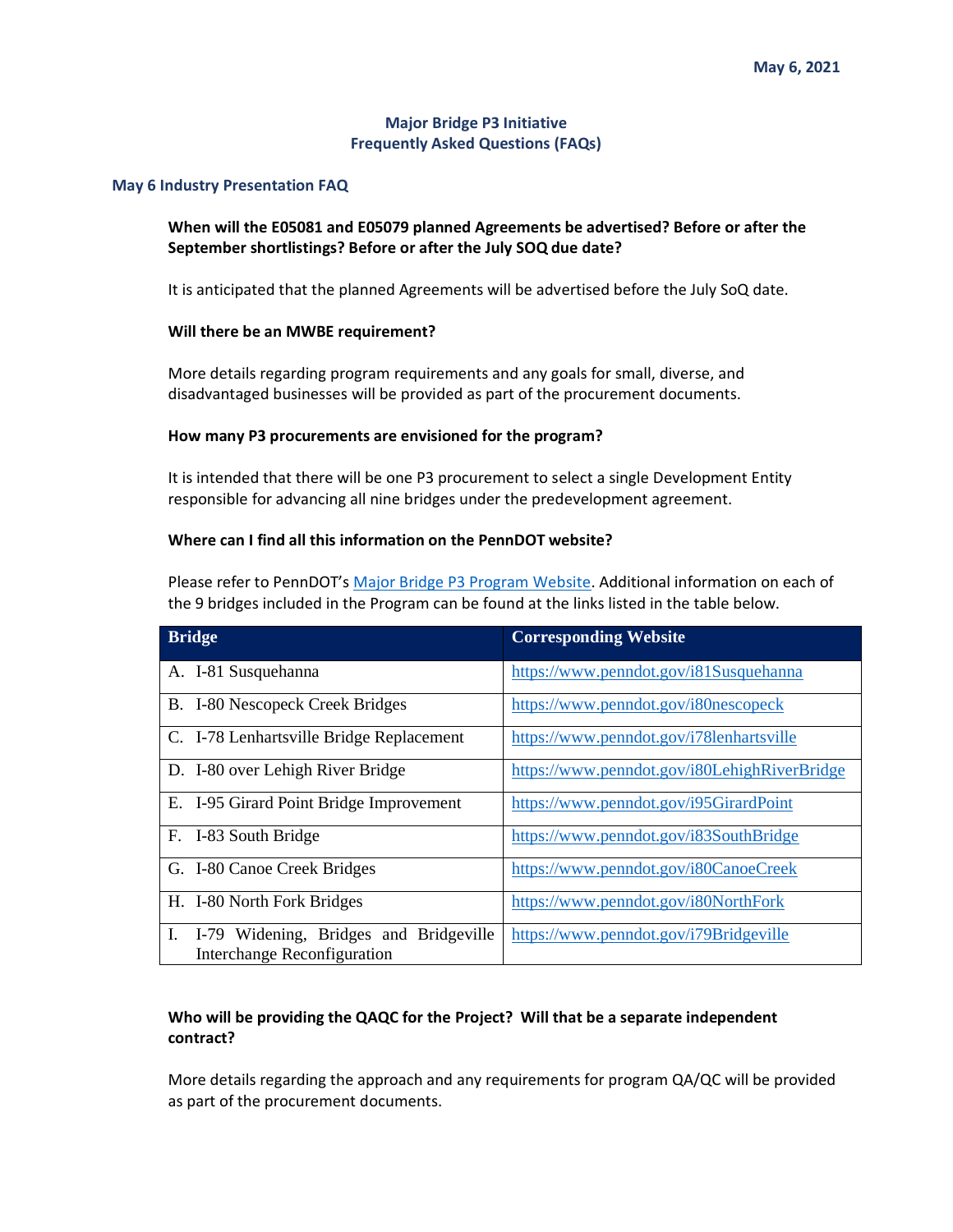### **Major Bridge P3 Initiative Frequently Asked Questions (FAQs)**

#### **May 6 Industry Presentation FAQ**

# **When will the E05081 and E05079 planned Agreements be advertised? Before or after the September shortlistings? Before or after the July SOQ due date?**

It is anticipated that the planned Agreements will be advertised before the July SoQ date.

#### **Will there be an MWBE requirement?**

More details regarding program requirements and any goals for small, diverse, and disadvantaged businesses will be provided as part of the procurement documents.

#### **How many P3 procurements are envisioned for the program?**

It is intended that there will be one P3 procurement to select a single Development Entity responsible for advancing all nine bridges under the predevelopment agreement.

### **Where can I find all this information on the PennDOT website?**

Please refer to PennDOT's [Major Bridge P3 Program Website.](https://www.penndot.gov/ProjectAndPrograms/p3forpa/Pages/Major-Bridges.aspx) Additional information on each of the 9 bridges included in the Program can be found at the links listed in the table below.

| <b>Bridge</b>                                                               | <b>Corresponding Website</b>                 |
|-----------------------------------------------------------------------------|----------------------------------------------|
| A. I-81 Susquehanna                                                         | https://www.penndot.gov/i81Susquehanna       |
| B. I-80 Nescopeck Creek Bridges                                             | https://www.penndot.gov/i80nescopeck         |
| C. I-78 Lenhartsville Bridge Replacement                                    | https://www.penndot.gov/i78lenhartsville     |
| D. I-80 over Lehigh River Bridge                                            | https://www.penndot.gov/i80LehighRiverBridge |
| E. I-95 Girard Point Bridge Improvement                                     | https://www.penndot.gov/i95GirardPoint       |
| F. I-83 South Bridge                                                        | https://www.penndot.gov/i83SouthBridge       |
| G. I-80 Canoe Creek Bridges                                                 | https://www.penndot.gov/i80CanoeCreek        |
| H. I-80 North Fork Bridges                                                  | https://www.penndot.gov/i80NorthFork         |
| I-79 Widening, Bridges and Bridgeville<br>L.<br>Interchange Reconfiguration | https://www.penndot.gov/i79Bridgeville       |

## **Who will be providing the QAQC for the Project? Will that be a separate independent contract?**

More details regarding the approach and any requirements for program QA/QC will be provided as part of the procurement documents.